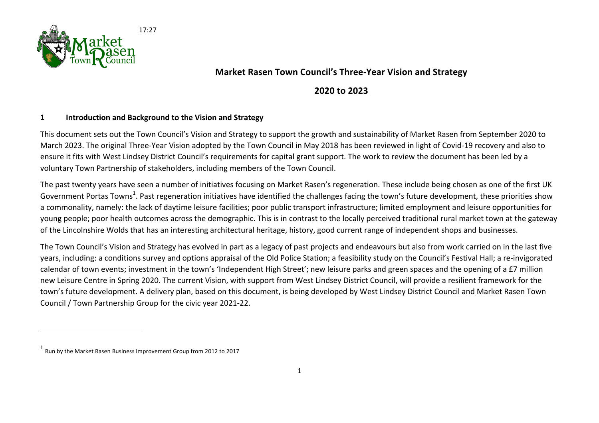

## **Market Rasen Town Council's Three-Year Vision and Strategy**

## **2020 to 2023**

## **1 Introduction and Background to the Vision and Strategy**

This document sets out the Town Council's Vision and Strategy to support the growth and sustainability of Market Rasen from September 2020 to March 2023. The original Three-Year Vision adopted by the Town Council in May 2018 has been reviewed in light of Covid-19 recovery and also to ensure it fits with West Lindsey District Council's requirements for capital grant support. The work to review the document has been led by a voluntary Town Partnership of stakeholders, including members of the Town Council.

The past twenty years have seen a number of initiatives focusing on Market Rasen's regeneration. These include being chosen as one of the first UK Government Portas Towns<sup>1</sup>. Past regeneration initiatives have identified the challenges facing the town's future development, these priorities show a commonality, namely: the lack of daytime leisure facilities; poor public transport infrastructure; limited employment and leisure opportunities for young people; poor health outcomes across the demographic. This is in contrast to the locally perceived traditional rural market town at the gateway of the Lincolnshire Wolds that has an interesting architectural heritage, history, good current range of independent shops and businesses.

The Town Council's Vision and Strategy has evolved in part as a legacy of past projects and endeavours but also from work carried on in the last five years, including: a conditions survey and options appraisal of the Old Police Station; a feasibility study on the Council's Festival Hall; a re-invigorated calendar of town events; investment in the town's 'Independent High Street'; new leisure parks and green spaces and the opening of a £7 million new Leisure Centre in Spring 2020. The current Vision, with support from West Lindsey District Council, will provide a resilient framework for the town's future development. A delivery plan, based on this document, is being developed by West Lindsey District Council and Market Rasen Town Council / Town Partnership Group for the civic year 2021-22.

 $1$  Run by the Market Rasen Business Improvement Group from 2012 to 2017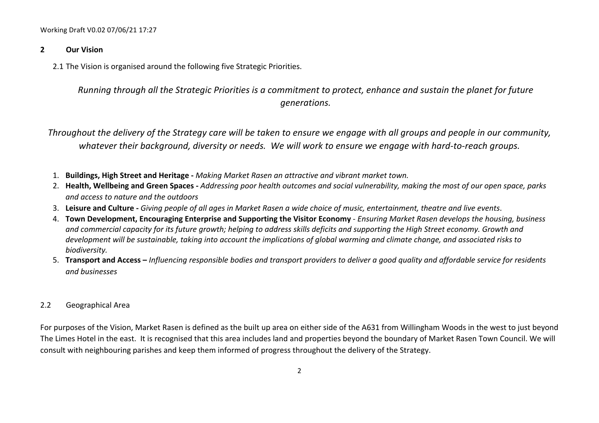#### **2 Our Vision**

2.1 The Vision is organised around the following five Strategic Priorities.

*Running through all the Strategic Priorities is a commitment to protect, enhance and sustain the planet for future generations.*

*Throughout the delivery of the Strategy care will be taken to ensure we engage with all groups and people in our community,* whatever their background, diversity or needs. We will work to ensure we engage with hard-to-reach groups.

- 1. **Buildings, High Street and Heritage**  *Making Market Rasen an attractive and vibrant market town.*
- 2. Health, Wellbeing and Green Spaces *Addressing poor health outcomes and social vulnerability, making the most of our open space, parks and access to nature and the outdoors*
- 3. Leisure and Culture Giving people of all ages in Market Rasen a wide choice of music, entertainment, theatre and live events.
- 4. **Town Development, Encouraging Enterprise and Supporting the Visitor Economy** *Ensuring Market Rasen develops the housing, business* and commercial capacity for its future arowth; helping to address skills deficits and supporting the High Street economy. Growth and development will be sustainable, taking into account the implications of global warming and climate change, and associated risks to biodiversity.
- 5. **Transport and Access** *Influencing responsible bodies and transport providers to deliver a good quality and affordable service for residents and businesses*

## 2.2 Geographical Area

For purposes of the Vision, Market Rasen is defined as the built up area on either side of the A631 from Willingham Woods in the west to just beyond The Limes Hotel in the east. It is recognised that this area includes land and properties beyond the boundary of Market Rasen Town Council. We will consult with neighbouring parishes and keep them informed of progress throughout the delivery of the Strategy.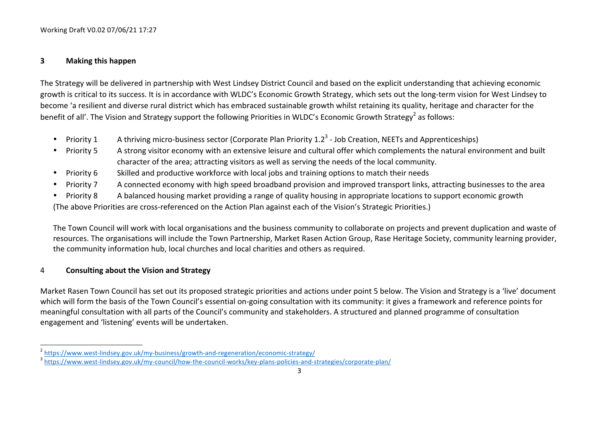#### **3 Making this happen**

The Strategy will be delivered in partnership with West Lindsey District Council and based on the explicit understanding that achieving economic growth is critical to its success. It is in accordance with WLDC's Economic Growth Strategy, which sets out the long-term vision for West Lindsey to become 'a resilient and diverse rural district which has embraced sustainable growth whilst retaining its quality, heritage and character for the benefit of all'. The Vision and Strategy support the following Priorities in WLDC's Economic Growth Strategy<sup>2</sup> as follows:

- Priority 1 A thriving micro-business sector (Corporate Plan Priority 1.2<sup>3</sup> Job Creation, NEETs and Apprenticeships)
- Priority 5 A strong visitor economy with an extensive leisure and cultural offer which complements the natural environment and built character of the area; attracting visitors as well as serving the needs of the local community.
- Priority 6 Skilled and productive workforce with local jobs and training options to match their needs
- Priority 7 A connected economy with high speed broadband provision and improved transport links, attracting businesses to the area
- Priority 8 A balanced housing market providing a range of quality housing in appropriate locations to support economic growth (The above Priorities are cross-referenced on the Action Plan against each of the Vision's Strategic Priorities.)

The Town Council will work with local organisations and the business community to collaborate on projects and prevent duplication and waste of resources. The organisations will include the Town Partnership, Market Rasen Action Group, Rase Heritage Society, community learning provider, the community information hub, local churches and local charities and others as required.

### 4 **Consulting about the Vision and Strategy**

<u> 1989 - Johann Stein, fransk politik (d. 1989)</u>

Market Rasen Town Council has set out its proposed strategic priorities and actions under point 5 below. The Vision and Strategy is a 'live' document which will form the basis of the Town Council's essential on-going consultation with its community: it gives a framework and reference points for meaningful consultation with all parts of the Council's community and stakeholders. A structured and planned programme of consultation engagement and 'listening' events will be undertaken.

<sup>&</sup>lt;sup>2</sup> https://www.west-lindsey.gov.uk/my-business/growth-and-regeneration/economic-strategy/<br><sup>3</sup> https://www.west-lindsey.gov.uk/my-counc<u>il/how-the-council-works/key-plans-policies-and-strategies/corporate-plan/</u>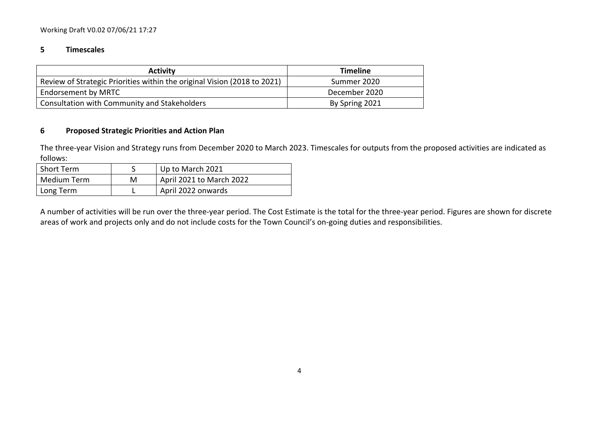#### **5 Timescales**

| <b>Activity</b>                                                          | <b>Timeline</b> |
|--------------------------------------------------------------------------|-----------------|
| Review of Strategic Priorities within the original Vision (2018 to 2021) | Summer 2020     |
| Endorsement by MRTC                                                      | December 2020   |
| Consultation with Community and Stakeholders                             | By Spring 2021  |

#### **6 Proposed Strategic Priorities and Action Plan**

The three-year Vision and Strategy runs from December 2020 to March 2023. Timescales for outputs from the proposed activities are indicated as follows:

| Short Term  |   | Up to March 2021         |
|-------------|---|--------------------------|
| Medium Term | М | April 2021 to March 2022 |
| Long Term   |   | April 2022 onwards       |

A number of activities will be run over the three-year period. The Cost Estimate is the total for the three-year period. Figures are shown for discrete areas of work and projects only and do not include costs for the Town Council's on-going duties and responsibilities.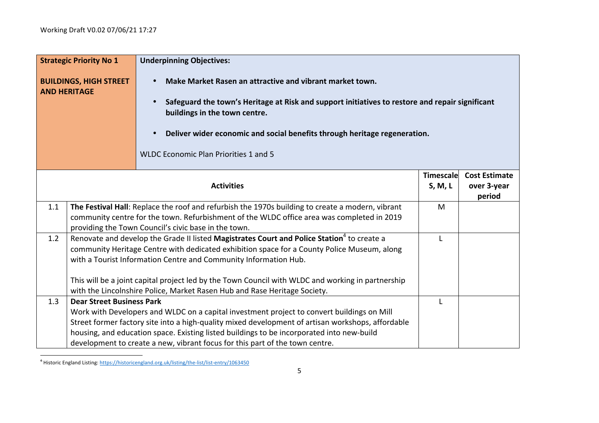|     | <b>Strategic Priority No 1</b>                                                                                                                | <b>Underpinning Objectives:</b>                                                                                                                    |           |                       |
|-----|-----------------------------------------------------------------------------------------------------------------------------------------------|----------------------------------------------------------------------------------------------------------------------------------------------------|-----------|-----------------------|
|     | <b>BUILDINGS, HIGH STREET</b><br>Make Market Rasen an attractive and vibrant market town.<br>$\bullet$<br><b>AND HERITAGE</b>                 |                                                                                                                                                    |           |                       |
|     | Safeguard the town's Heritage at Risk and support initiatives to restore and repair significant<br>$\bullet$<br>buildings in the town centre. |                                                                                                                                                    |           |                       |
|     |                                                                                                                                               | Deliver wider economic and social benefits through heritage regeneration.<br>$\bullet$                                                             |           |                       |
|     |                                                                                                                                               | <b>WLDC Economic Plan Priorities 1 and 5</b>                                                                                                       |           |                       |
|     |                                                                                                                                               |                                                                                                                                                    | Timescale | <b>Cost Estimate</b>  |
|     |                                                                                                                                               | <b>Activities</b>                                                                                                                                  | S, M, L   | over 3-year<br>period |
| 1.1 |                                                                                                                                               | The Festival Hall: Replace the roof and refurbish the 1970s building to create a modern, vibrant                                                   | M         |                       |
|     |                                                                                                                                               | community centre for the town. Refurbishment of the WLDC office area was completed in 2019<br>providing the Town Council's civic base in the town. |           |                       |
| 1.2 |                                                                                                                                               | Renovate and develop the Grade II listed Magistrates Court and Police Station <sup>4</sup> to create a                                             | L         |                       |
|     |                                                                                                                                               | community Heritage Centre with dedicated exhibition space for a County Police Museum, along                                                        |           |                       |
|     |                                                                                                                                               | with a Tourist Information Centre and Community Information Hub.                                                                                   |           |                       |
|     |                                                                                                                                               | This will be a joint capital project led by the Town Council with WLDC and working in partnership                                                  |           |                       |
|     |                                                                                                                                               | with the Lincolnshire Police, Market Rasen Hub and Rase Heritage Society.                                                                          |           |                       |
| 1.3 | <b>Dear Street Business Park</b>                                                                                                              |                                                                                                                                                    | T.        |                       |
|     |                                                                                                                                               | Work with Developers and WLDC on a capital investment project to convert buildings on Mill                                                         |           |                       |
|     |                                                                                                                                               | Street former factory site into a high-quality mixed development of artisan workshops, affordable                                                  |           |                       |
|     |                                                                                                                                               | housing, and education space. Existing listed buildings to be incorporated into new-build                                                          |           |                       |
|     |                                                                                                                                               | development to create a new, vibrant focus for this part of the town centre.                                                                       |           |                       |

and thistoric England Listing: https://historicengland.org.uk/listing/the-list/list-entry/1063450<br>And the list/list-entry/1063450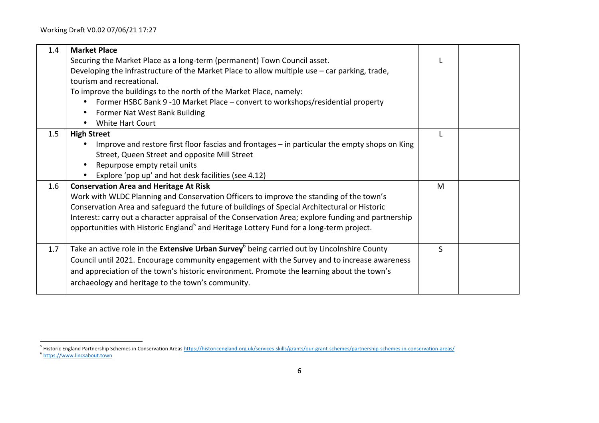| 1.4 | <b>Market Place</b>                                                                                            |   |  |
|-----|----------------------------------------------------------------------------------------------------------------|---|--|
|     | Securing the Market Place as a long-term (permanent) Town Council asset.                                       |   |  |
|     | Developing the infrastructure of the Market Place to allow multiple use - car parking, trade,                  |   |  |
|     | tourism and recreational.                                                                                      |   |  |
|     | To improve the buildings to the north of the Market Place, namely:                                             |   |  |
|     | Former HSBC Bank 9 -10 Market Place - convert to workshops/residential property<br>$\bullet$                   |   |  |
|     | Former Nat West Bank Building<br>$\bullet$                                                                     |   |  |
|     | White Hart Court<br>$\bullet$                                                                                  |   |  |
| 1.5 | <b>High Street</b>                                                                                             | L |  |
|     | Improve and restore first floor fascias and frontages - in particular the empty shops on King                  |   |  |
|     | Street, Queen Street and opposite Mill Street                                                                  |   |  |
|     | Repurpose empty retail units                                                                                   |   |  |
|     | Explore 'pop up' and hot desk facilities (see 4.12)                                                            |   |  |
| 1.6 | <b>Conservation Area and Heritage At Risk</b>                                                                  | M |  |
|     | Work with WLDC Planning and Conservation Officers to improve the standing of the town's                        |   |  |
|     | Conservation Area and safeguard the future of buildings of Special Architectural or Historic                   |   |  |
|     | Interest: carry out a character appraisal of the Conservation Area; explore funding and partnership            |   |  |
|     | opportunities with Historic England <sup>5</sup> and Heritage Lottery Fund for a long-term project.            |   |  |
|     |                                                                                                                |   |  |
| 1.7 | Take an active role in the <b>Extensive Urban Survey</b> <sup>6</sup> being carried out by Lincolnshire County | S |  |
|     | Council until 2021. Encourage community engagement with the Survey and to increase awareness                   |   |  |
|     | and appreciation of the town's historic environment. Promote the learning about the town's                     |   |  |
|     | archaeology and heritage to the town's community.                                                              |   |  |
|     |                                                                                                                |   |  |

<sup>5&</sup>lt;br>5 Historic England Partnership Schemes in Conservation Areas <u>https://historicengland.org.uk/services-skills/grants/our-grant-schemes/partnership-schemes-in-conservation-areas/</u> <sup>6</sup> https://www.lincsabout.town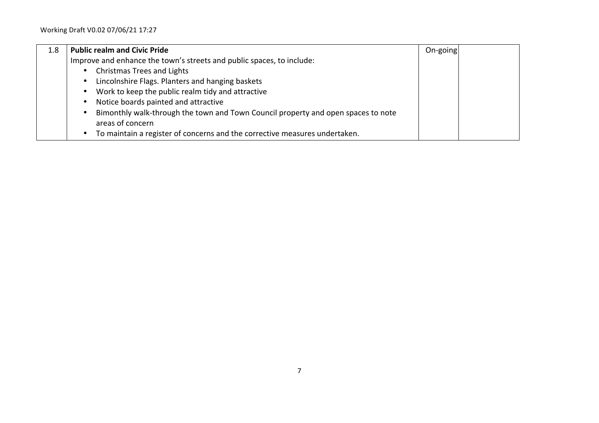| 1.8 | <b>Public realm and Civic Pride</b>                                                     | On-going |  |
|-----|-----------------------------------------------------------------------------------------|----------|--|
|     | Improve and enhance the town's streets and public spaces, to include:                   |          |  |
|     | <b>Christmas Trees and Lights</b><br>$\bullet$                                          |          |  |
|     | Lincolnshire Flags. Planters and hanging baskets<br>$\bullet$                           |          |  |
|     | Work to keep the public realm tidy and attractive<br>$\bullet$                          |          |  |
|     | Notice boards painted and attractive<br>٠                                               |          |  |
|     | Bimonthly walk-through the town and Town Council property and open spaces to note<br>٠  |          |  |
|     | areas of concern                                                                        |          |  |
|     | To maintain a register of concerns and the corrective measures undertaken.<br>$\bullet$ |          |  |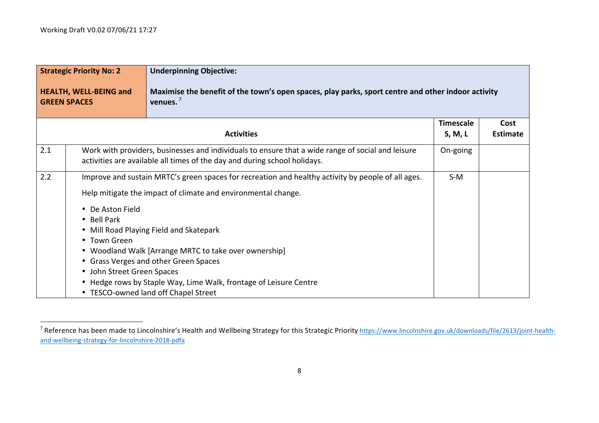|     | <b>Strategic Priority No: 2</b>                                               | <b>Underpinning Objective:</b>                                                                                                                                                                                                                         |                             |                         |
|-----|-------------------------------------------------------------------------------|--------------------------------------------------------------------------------------------------------------------------------------------------------------------------------------------------------------------------------------------------------|-----------------------------|-------------------------|
|     | <b>HEALTH, WELL-BEING and</b><br><b>GREEN SPACES</b>                          | Maximise the benefit of the town's open spaces, play parks, sport centre and other indoor activity<br>venues. $7$                                                                                                                                      |                             |                         |
|     |                                                                               | <b>Activities</b>                                                                                                                                                                                                                                      | <b>Timescale</b><br>S, M, L | Cost<br><b>Estimate</b> |
| 2.1 |                                                                               | Work with providers, businesses and individuals to ensure that a wide range of social and leisure<br>activities are available all times of the day and during school holidays.                                                                         | On-going                    |                         |
| 2.2 |                                                                               | Improve and sustain MRTC's green spaces for recreation and healthy activity by people of all ages.<br>Help mitigate the impact of climate and environmental change.                                                                                    | $S-M$                       |                         |
|     | • De Aston Field<br>• Bell Park<br>• Town Green<br>• John Street Green Spaces | • Mill Road Playing Field and Skatepark<br>• Woodland Walk [Arrange MRTC to take over ownership]<br>• Grass Verges and other Green Spaces<br>• Hedge rows by Staple Way, Lime Walk, frontage of Leisure Centre<br>• TESCO-owned land off Chapel Street |                             |                         |

<sup>&</sup>lt;sup>7</sup> Reference has been made to Lincolnshire's Health and Wellbeing Strategy for this Strategic Priority https://www.lincolnshire.gov.uk/downloads/file/2613/joint-healthand-wellbeing-strategy-for-lincolnshire-2018-pdfa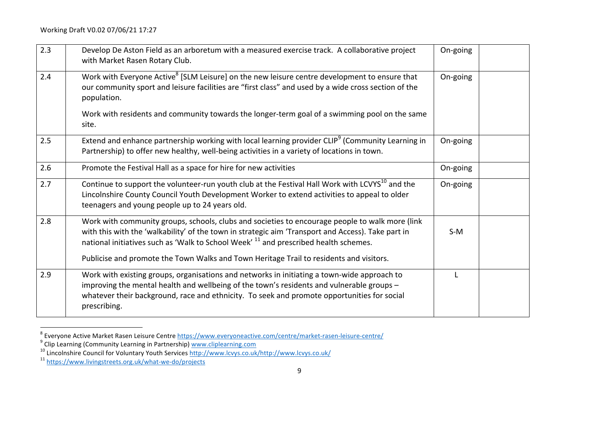| 2.3 | Develop De Aston Field as an arboretum with a measured exercise track. A collaborative project<br>with Market Rasen Rotary Club.                                                                                                                                                                                                                                                                    | On-going |  |
|-----|-----------------------------------------------------------------------------------------------------------------------------------------------------------------------------------------------------------------------------------------------------------------------------------------------------------------------------------------------------------------------------------------------------|----------|--|
| 2.4 | Work with Everyone Active <sup>8</sup> [SLM Leisure] on the new leisure centre development to ensure that<br>our community sport and leisure facilities are "first class" and used by a wide cross section of the<br>population.                                                                                                                                                                    | On-going |  |
|     | Work with residents and community towards the longer-term goal of a swimming pool on the same<br>site.                                                                                                                                                                                                                                                                                              |          |  |
| 2.5 | Extend and enhance partnership working with local learning provider CLIP <sup>9</sup> (Community Learning in<br>Partnership) to offer new healthy, well-being activities in a variety of locations in town.                                                                                                                                                                                         | On-going |  |
| 2.6 | Promote the Festival Hall as a space for hire for new activities                                                                                                                                                                                                                                                                                                                                    | On-going |  |
| 2.7 | Continue to support the volunteer-run youth club at the Festival Hall Work with LCVYS <sup>10</sup> and the<br>Lincolnshire County Council Youth Development Worker to extend activities to appeal to older<br>teenagers and young people up to 24 years old.                                                                                                                                       | On-going |  |
| 2.8 | Work with community groups, schools, clubs and societies to encourage people to walk more (link<br>with this with the 'walkability' of the town in strategic aim 'Transport and Access). Take part in<br>national initiatives such as 'Walk to School Week' <sup>11</sup> and prescribed health schemes.<br>Publicise and promote the Town Walks and Town Heritage Trail to residents and visitors. | $S-M$    |  |
| 2.9 | Work with existing groups, organisations and networks in initiating a town-wide approach to<br>improving the mental health and wellbeing of the town's residents and vulnerable groups -<br>whatever their background, race and ethnicity. To seek and promote opportunities for social<br>prescribing.                                                                                             |          |  |

<sup>8&</sup>lt;br>8 Everyone Active Market Rasen Leisure Centre https://www.everyoneactive.com/centre/market-rasen-leisure-centre<br>9 Clin Learning (Community Learning in Perteorship) www.eliplearning.com

<sup>&</sup>lt;sup>9</sup> Clip Learning (Community Learning in Partnership) <u>www.cliplearning.com</u><br><sup>10</sup> Lincolnshire Council for Voluntary Youth Services <u>http://www.lcvys.co.uk/http://www.lcvys.co.uk/</u><br><sup>11</sup> <u>https://www.livingstreets.org.uk/wh</u>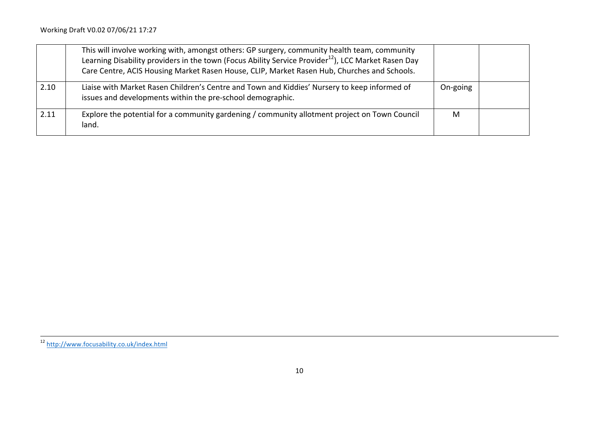|      | This will involve working with, amongst others: GP surgery, community health team, community<br>Learning Disability providers in the town (Focus Ability Service Provider <sup>12</sup> ), LCC Market Rasen Day<br>Care Centre, ACIS Housing Market Rasen House, CLIP, Market Rasen Hub, Churches and Schools. |          |  |
|------|----------------------------------------------------------------------------------------------------------------------------------------------------------------------------------------------------------------------------------------------------------------------------------------------------------------|----------|--|
| 2.10 | Liaise with Market Rasen Children's Centre and Town and Kiddies' Nursery to keep informed of<br>issues and developments within the pre-school demographic.                                                                                                                                                     | On-going |  |
| 2.11 | Explore the potential for a community gardening / community allotment project on Town Council<br>land.                                                                                                                                                                                                         | M        |  |

,我们也不会不会不会不会不会不会不会不会不会不会不会不会不会不会不会不会不会。""我们不会不会不会不会不会不会不会不会不会不会。""我们不会不会不会不会不会不会

<sup>&</sup>lt;sup>12</sup> http://www.focusability.co.uk/index.html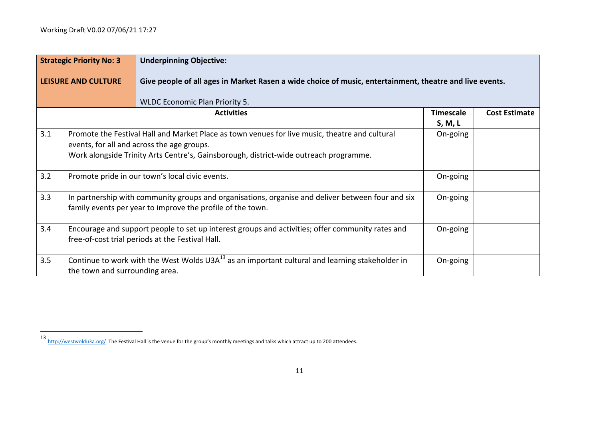|     | <b>Strategic Priority No: 3</b> | <b>Underpinning Objective:</b>                                                                                                                                                                                                        |                             |                      |
|-----|---------------------------------|---------------------------------------------------------------------------------------------------------------------------------------------------------------------------------------------------------------------------------------|-----------------------------|----------------------|
|     | <b>LEISURE AND CULTURE</b>      | Give people of all ages in Market Rasen a wide choice of music, entertainment, theatre and live events.                                                                                                                               |                             |                      |
|     |                                 | <b>WLDC Economic Plan Priority 5.</b>                                                                                                                                                                                                 |                             |                      |
|     |                                 | <b>Activities</b>                                                                                                                                                                                                                     | <b>Timescale</b><br>S, M, L | <b>Cost Estimate</b> |
| 3.1 |                                 | Promote the Festival Hall and Market Place as town venues for live music, theatre and cultural<br>events, for all and across the age groups.<br>Work alongside Trinity Arts Centre's, Gainsborough, district-wide outreach programme. | On-going                    |                      |
| 3.2 |                                 | Promote pride in our town's local civic events.                                                                                                                                                                                       | On-going                    |                      |
| 3.3 |                                 | In partnership with community groups and organisations, organise and deliver between four and six<br>family events per year to improve the profile of the town.                                                                       | On-going                    |                      |
| 3.4 |                                 | Encourage and support people to set up interest groups and activities; offer community rates and<br>free-of-cost trial periods at the Festival Hall.                                                                                  | On-going                    |                      |
| 3.5 | the town and surrounding area.  | Continue to work with the West Wolds $U3A^{13}$ as an important cultural and learning stakeholder in                                                                                                                                  | On-going                    |                      |

<sup>13</sup> http://westwoldu3a.org/ The Festival Hall is the venue for the group's monthly meetings and talks which attract up to 200 attendees.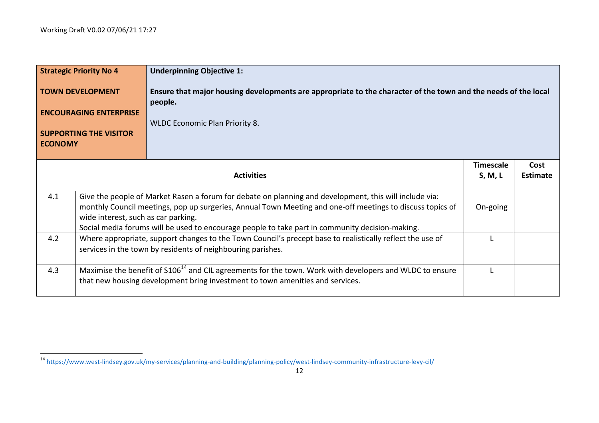|                                                                                                                                                      | <b>Strategic Priority No 4</b>      | <b>Underpinning Objective 1:</b>                                                                                                                                                                                                                                                                                       |                             |                         |
|------------------------------------------------------------------------------------------------------------------------------------------------------|-------------------------------------|------------------------------------------------------------------------------------------------------------------------------------------------------------------------------------------------------------------------------------------------------------------------------------------------------------------------|-----------------------------|-------------------------|
| Ensure that major housing developments are appropriate to the character of the town and the needs of the local<br><b>TOWN DEVELOPMENT</b><br>people. |                                     |                                                                                                                                                                                                                                                                                                                        |                             |                         |
|                                                                                                                                                      | <b>ENCOURAGING ENTERPRISE</b>       | <b>WLDC Economic Plan Priority 8.</b>                                                                                                                                                                                                                                                                                  |                             |                         |
| <b>SUPPORTING THE VISITOR</b><br><b>ECONOMY</b>                                                                                                      |                                     |                                                                                                                                                                                                                                                                                                                        |                             |                         |
|                                                                                                                                                      |                                     | <b>Activities</b>                                                                                                                                                                                                                                                                                                      | <b>Timescale</b><br>S, M, L | Cost<br><b>Estimate</b> |
| 4.1                                                                                                                                                  | wide interest, such as car parking. | Give the people of Market Rasen a forum for debate on planning and development, this will include via:<br>monthly Council meetings, pop up surgeries, Annual Town Meeting and one-off meetings to discuss topics of<br>Social media forums will be used to encourage people to take part in community decision-making. | On-going                    |                         |
| 4.2                                                                                                                                                  |                                     | Where appropriate, support changes to the Town Council's precept base to realistically reflect the use of<br>services in the town by residents of neighbouring parishes.                                                                                                                                               |                             |                         |
| 4.3                                                                                                                                                  |                                     | Maximise the benefit of S106 <sup>14</sup> and CIL agreements for the town. Work with developers and WLDC to ensure<br>that new housing development bring investment to town amenities and services.                                                                                                                   |                             |                         |

<sup>&</sup>lt;sup>14</sup> https://www.west-lindsey.gov.uk/my-services/planning-and-building/planning-policy/west-lindsey-community-infrastructure-levy-cil/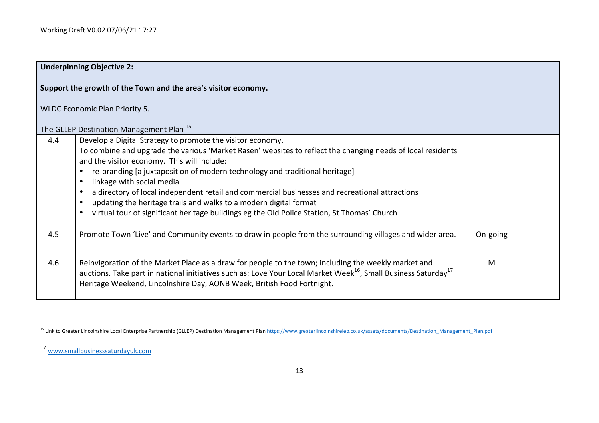|     | <b>Underpinning Objective 2:</b>                                                                                                                                                                                                                                                                                                                                                                                                                                                                                                                                                                                                                                            |          |  |
|-----|-----------------------------------------------------------------------------------------------------------------------------------------------------------------------------------------------------------------------------------------------------------------------------------------------------------------------------------------------------------------------------------------------------------------------------------------------------------------------------------------------------------------------------------------------------------------------------------------------------------------------------------------------------------------------------|----------|--|
|     | Support the growth of the Town and the area's visitor economy.                                                                                                                                                                                                                                                                                                                                                                                                                                                                                                                                                                                                              |          |  |
|     | <b>WLDC Economic Plan Priority 5.</b>                                                                                                                                                                                                                                                                                                                                                                                                                                                                                                                                                                                                                                       |          |  |
|     | The GLLEP Destination Management Plan <sup>15</sup>                                                                                                                                                                                                                                                                                                                                                                                                                                                                                                                                                                                                                         |          |  |
| 4.4 | Develop a Digital Strategy to promote the visitor economy.<br>To combine and upgrade the various 'Market Rasen' websites to reflect the changing needs of local residents<br>and the visitor economy. This will include:<br>re-branding [a juxtaposition of modern technology and traditional heritage]<br>$\bullet$<br>linkage with social media<br>$\bullet$<br>a directory of local independent retail and commercial businesses and recreational attractions<br>$\bullet$<br>updating the heritage trails and walks to a modern digital format<br>$\bullet$<br>virtual tour of significant heritage buildings eg the Old Police Station, St Thomas' Church<br>$\bullet$ |          |  |
| 4.5 | Promote Town 'Live' and Community events to draw in people from the surrounding villages and wider area.                                                                                                                                                                                                                                                                                                                                                                                                                                                                                                                                                                    | On-going |  |
| 4.6 | Reinvigoration of the Market Place as a draw for people to the town; including the weekly market and<br>auctions. Take part in national initiatives such as: Love Your Local Market Week <sup>16</sup> , Small Business Saturday <sup>17</sup><br>Heritage Weekend, Lincolnshire Day, AONB Week, British Food Fortnight.                                                                                                                                                                                                                                                                                                                                                    | M        |  |

<sup>&</sup>lt;u> 1989 - Johann Stein, fransk politik (d. 1989)</u> <sup>15</sup> Link to Greater Lincolnshire Local Enterprise Partnership (GLLEP) Destination Management Plan https://www.greaterlincolnshirelep.co.uk/assets/documents/Destination\_Management\_Plan.pdf

<sup>17</sup> www.smallbusinesssaturdayuk.com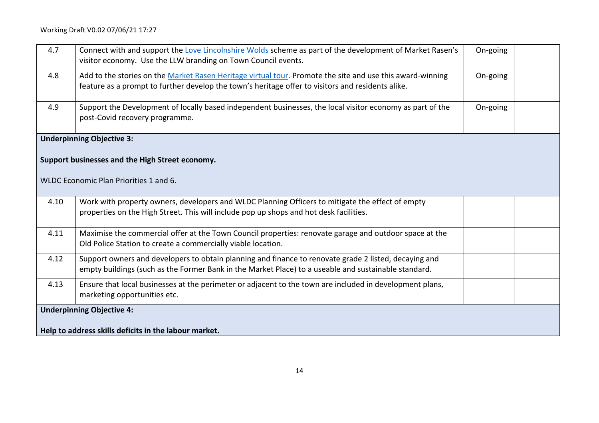| 4.7  | Connect with and support the Love Lincolnshire Wolds scheme as part of the development of Market Rasen's<br>visitor economy. Use the LLW branding on Town Council events.                                      | On-going |  |
|------|----------------------------------------------------------------------------------------------------------------------------------------------------------------------------------------------------------------|----------|--|
| 4.8  | Add to the stories on the Market Rasen Heritage virtual tour. Promote the site and use this award-winning<br>feature as a prompt to further develop the town's heritage offer to visitors and residents alike. | On-going |  |
| 4.9  | Support the Development of locally based independent businesses, the local visitor economy as part of the<br>post-Covid recovery programme.                                                                    | On-going |  |
|      | <b>Underpinning Objective 3:</b>                                                                                                                                                                               |          |  |
|      | Support businesses and the High Street economy.                                                                                                                                                                |          |  |
|      | WLDC Economic Plan Priorities 1 and 6.                                                                                                                                                                         |          |  |
| 4.10 | Work with property owners, developers and WLDC Planning Officers to mitigate the effect of empty<br>properties on the High Street. This will include pop up shops and hot desk facilities.                     |          |  |
| 4.11 | Maximise the commercial offer at the Town Council properties: renovate garage and outdoor space at the<br>Old Police Station to create a commercially viable location.                                         |          |  |
| 4.12 | Support owners and developers to obtain planning and finance to renovate grade 2 listed, decaying and<br>empty buildings (such as the Former Bank in the Market Place) to a useable and sustainable standard.  |          |  |
| 4.13 | Ensure that local businesses at the perimeter or adjacent to the town are included in development plans,<br>marketing opportunities etc.                                                                       |          |  |
|      | <b>Underpinning Objective 4:</b>                                                                                                                                                                               |          |  |
|      | Help to address skills deficits in the labour market.                                                                                                                                                          |          |  |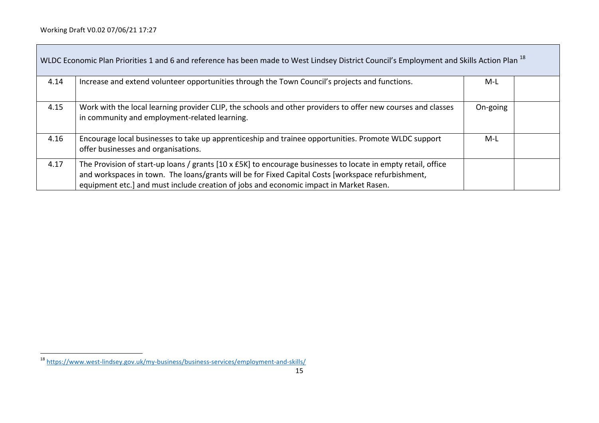$\overline{\phantom{a}}$ 

| WLDC Economic Plan Priorities 1 and 6 and reference has been made to West Lindsey District Council's Employment and Skills Action Plan <sup>18</sup> |                                                                                                                                                                                                                                                                                                               |          |  |
|------------------------------------------------------------------------------------------------------------------------------------------------------|---------------------------------------------------------------------------------------------------------------------------------------------------------------------------------------------------------------------------------------------------------------------------------------------------------------|----------|--|
| 4.14                                                                                                                                                 | Increase and extend volunteer opportunities through the Town Council's projects and functions.                                                                                                                                                                                                                | M-L      |  |
| 4.15                                                                                                                                                 | Work with the local learning provider CLIP, the schools and other providers to offer new courses and classes<br>in community and employment-related learning.                                                                                                                                                 | On-going |  |
| 4.16                                                                                                                                                 | Encourage local businesses to take up apprenticeship and trainee opportunities. Promote WLDC support<br>offer businesses and organisations.                                                                                                                                                                   | M-L      |  |
| 4.17                                                                                                                                                 | The Provision of start-up loans / grants [10 x £5K] to encourage businesses to locate in empty retail, office<br>and workspaces in town. The loans/grants will be for Fixed Capital Costs [workspace refurbishment,<br>equipment etc.] and must include creation of jobs and economic impact in Market Rasen. |          |  |

<sup>&</sup>lt;sup>18</sup> https://www.west-lindsey.gov.uk/my-business/business-services/employment-and-skills/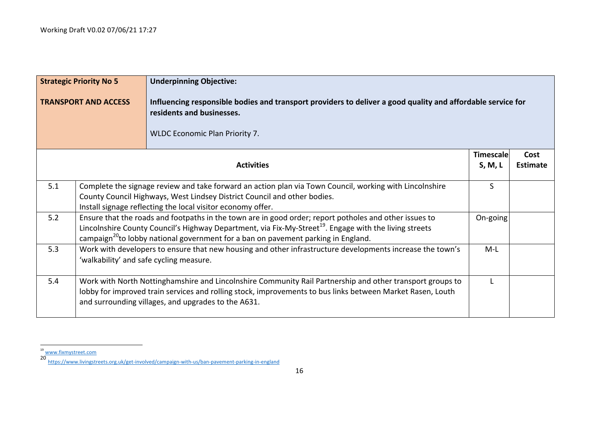|     | <b>Strategic Priority No 5</b> | <b>Underpinning Objective:</b>                                                                                                                                                                                                                                                                                                |                             |                         |
|-----|--------------------------------|-------------------------------------------------------------------------------------------------------------------------------------------------------------------------------------------------------------------------------------------------------------------------------------------------------------------------------|-----------------------------|-------------------------|
|     | <b>TRANSPORT AND ACCESS</b>    | Influencing responsible bodies and transport providers to deliver a good quality and affordable service for<br>residents and businesses.<br><b>WLDC Economic Plan Priority 7.</b>                                                                                                                                             |                             |                         |
|     |                                | <b>Activities</b>                                                                                                                                                                                                                                                                                                             | <b>Timescale</b><br>S, M, L | Cost<br><b>Estimate</b> |
| 5.1 |                                | Complete the signage review and take forward an action plan via Town Council, working with Lincolnshire<br>County Council Highways, West Lindsey District Council and other bodies.<br>Install signage reflecting the local visitor economy offer.                                                                            | S                           |                         |
| 5.2 |                                | Ensure that the roads and footpaths in the town are in good order; report potholes and other issues to<br>Lincolnshire County Council's Highway Department, via Fix-My-Street <sup>19</sup> . Engage with the living streets<br>campaign <sup>20</sup> to lobby national government for a ban on pavement parking in England. | On-going                    |                         |
| 5.3 |                                | Work with developers to ensure that new housing and other infrastructure developments increase the town's<br>'walkability' and safe cycling measure.                                                                                                                                                                          | $M-L$                       |                         |
| 5.4 |                                | Work with North Nottinghamshire and Lincolnshire Community Rail Partnership and other transport groups to<br>lobby for improved train services and rolling stock, improvements to bus links between Market Rasen, Louth<br>and surrounding villages, and upgrades to the A631.                                                | L                           |                         |

<sup>&</sup>lt;sup>19</sup> www.fixmystreet.com

<sup>20</sup> https://www.livingstreets.org.uk/get-involved/campaign-with-us/ban-pavement-parking-in-england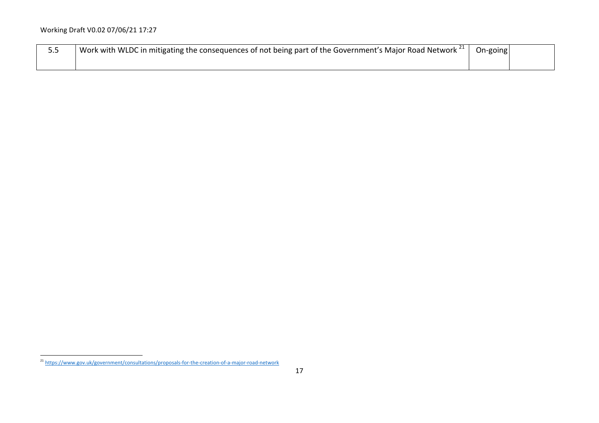| <u></u> | Work with WLDC in mitigating the consequences of not being part of the Government's Major Road Network $^{21}$ r | On-going |  |
|---------|------------------------------------------------------------------------------------------------------------------|----------|--|
|         |                                                                                                                  |          |  |

<sup>&</sup>lt;sup>21</sup> https://www.gov.uk/government/consultations/proposals-for-the-creation-of-a-major-road-network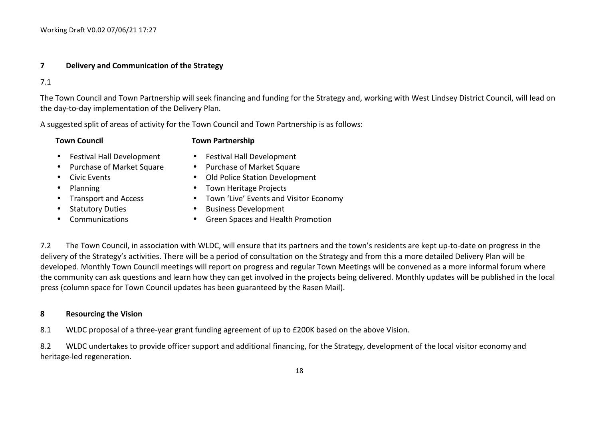#### **7 Delivery and Communication of the Strategy**

7.1

The Town Council and Town Partnership will seek financing and funding for the Strategy and, working with West Lindsey District Council, will lead on the day-to-day implementation of the Delivery Plan.

A suggested split of areas of activity for the Town Council and Town Partnership is as follows:

#### **Town Council Town Partnership**

- Festival Hall Development
- Purchase of Market Square
- Civic Events
- Planning
- Transport and Access
- Statutory Duties
- Communications
- Festival Hall Development
- Purchase of Market Square
- Old Police Station Development
- Town Heritage Projects
- Town 'Live' Events and Visitor Economy
- Business Development
- Green Spaces and Health Promotion

7.2 The Town Council, in association with WLDC, will ensure that its partners and the town's residents are kept up-to-date on progress in the delivery of the Strategy's activities. There will be a period of consultation on the Strategy and from this a more detailed Delivery Plan will be developed. Monthly Town Council meetings will report on progress and regular Town Meetings will be convened as a more informal forum where the community can ask questions and learn how they can get involved in the projects being delivered. Monthly updates will be published in the local press (column space for Town Council updates has been guaranteed by the Rasen Mail).

#### **8 Resourcing the Vision**

8.1 WLDC proposal of a three-year grant funding agreement of up to £200K based on the above Vision.

8.2 WLDC undertakes to provide officer support and additional financing, for the Strategy, development of the local visitor economy and heritage-led regeneration.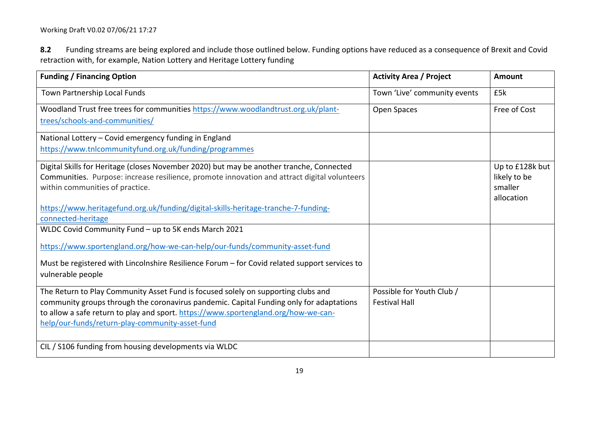8.2 Funding streams are being explored and include those outlined below. Funding options have reduced as a consequence of Brexit and Covid retraction with, for example, Nation Lottery and Heritage Lottery funding

| <b>Funding / Financing Option</b>                                                                                                                                                                                                                                                                                     | <b>Activity Area / Project</b>                    | <b>Amount</b>                                            |
|-----------------------------------------------------------------------------------------------------------------------------------------------------------------------------------------------------------------------------------------------------------------------------------------------------------------------|---------------------------------------------------|----------------------------------------------------------|
| Town Partnership Local Funds                                                                                                                                                                                                                                                                                          | Town 'Live' community events                      | £5k                                                      |
| Woodland Trust free trees for communities https://www.woodlandtrust.org.uk/plant-<br>trees/schools-and-communities/                                                                                                                                                                                                   | Open Spaces                                       | Free of Cost                                             |
| National Lottery - Covid emergency funding in England                                                                                                                                                                                                                                                                 |                                                   |                                                          |
| https://www.tnlcommunityfund.org.uk/funding/programmes                                                                                                                                                                                                                                                                |                                                   |                                                          |
| Digital Skills for Heritage (closes November 2020) but may be another tranche, Connected<br>Communities. Purpose: increase resilience, promote innovation and attract digital volunteers<br>within communities of practice.                                                                                           |                                                   | Up to £128k but<br>likely to be<br>smaller<br>allocation |
| https://www.heritagefund.org.uk/funding/digital-skills-heritage-tranche-7-funding-<br>connected-heritage                                                                                                                                                                                                              |                                                   |                                                          |
| WLDC Covid Community Fund - up to 5K ends March 2021                                                                                                                                                                                                                                                                  |                                                   |                                                          |
| https://www.sportengland.org/how-we-can-help/our-funds/community-asset-fund                                                                                                                                                                                                                                           |                                                   |                                                          |
| Must be registered with Lincolnshire Resilience Forum – for Covid related support services to<br>vulnerable people                                                                                                                                                                                                    |                                                   |                                                          |
| The Return to Play Community Asset Fund is focused solely on supporting clubs and<br>community groups through the coronavirus pandemic. Capital Funding only for adaptations<br>to allow a safe return to play and sport. https://www.sportengland.org/how-we-can-<br>help/our-funds/return-play-community-asset-fund | Possible for Youth Club /<br><b>Festival Hall</b> |                                                          |
| CIL / S106 funding from housing developments via WLDC                                                                                                                                                                                                                                                                 |                                                   |                                                          |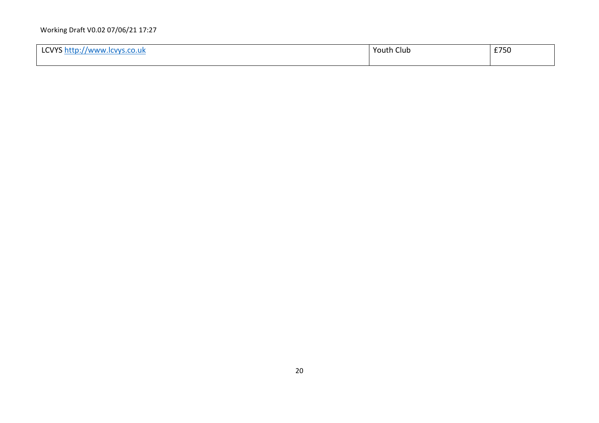| $1$ CMVC $^{\prime}$<br>ᆞ<br>$1$ WWW. $\mu$ .<br>.co.uk<br><b>CVVS</b><br><b>LC 1 1 -</b><br>.<br>$\sim$ references to $\sim$ | Youth Club | 2770<br>£750 |
|-------------------------------------------------------------------------------------------------------------------------------|------------|--------------|
|                                                                                                                               |            |              |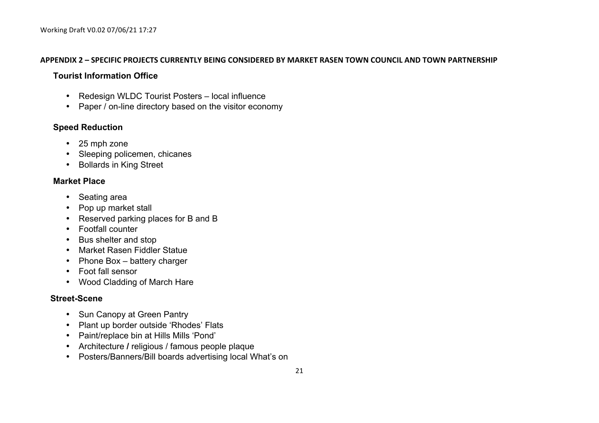#### **APPENDIX 2 – SPECIFIC PROJECTS CURRENTLY BEING CONSIDERED BY MARKET RASEN TOWN COUNCIL AND TOWN PARTNERSHIP**

## **Tourist Information Office**

- Redesign WLDC Tourist Posters local influence
- Paper / on-line directory based on the visitor economy

## **Speed Reduction**

- 25 mph zone
- Sleeping policemen, chicanes
- Bollards in King Street

## **Market Place**

- Seating area
- Pop up market stall
- Reserved parking places for B and B
- Footfall counter
- Bus shelter and stop
- Market Rasen Fiddler Statue
- Phone Box battery charger
- Foot fall sensor
- Wood Cladding of March Hare

## **Street-Scene**

- Sun Canopy at Green Pantry
- Plant up border outside 'Rhodes' Flats
- Paint/replace bin at Hills Mills 'Pond'
- Architecture **/** religious / famous people plaque
- Posters/Banners/Bill boards advertising local What's on